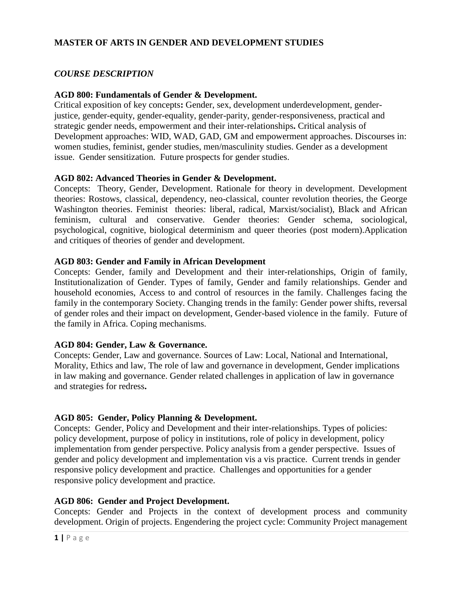### **MASTER OF ARTS IN GENDER AND DEVELOPMENT STUDIES**

### *COURSE DESCRIPTION*

### **AGD 800: Fundamentals of Gender & Development.**

Critical exposition of key concepts**:** Gender, sex, development underdevelopment, genderjustice, gender-equity, gender-equality, gender-parity, gender-responsiveness, practical and strategic gender needs, empowerment and their inter-relationships**.** Critical analysis of Development approaches: WID, WAD, GAD, GM and empowerment approaches. Discourses in: women studies, feminist, gender studies, men/masculinity studies. Gender as a development issue. Gender sensitization. Future prospects for gender studies.

#### **AGD 802: Advanced Theories in Gender & Development.**

Concepts: Theory, Gender, Development. Rationale for theory in development. Development theories: Rostows, classical, dependency, neo-classical, counter revolution theories, the George Washington theories. Feminist theories: liberal, radical, Marxist/socialist), Black and African feminism, cultural and conservative. Gender theories: Gender schema, sociological, psychological, cognitive, biological determinism and queer theories (post modern).Application and critiques of theories of gender and development.

### **AGD 803: Gender and Family in African Development**

Concepts: Gender, family and Development and their inter-relationships, Origin of family, Institutionalization of Gender. Types of family, Gender and family relationships. Gender and household economies, Access to and control of resources in the family. Challenges facing the family in the contemporary Society. Changing trends in the family: Gender power shifts, reversal of gender roles and their impact on development, Gender-based violence in the family. Future of the family in Africa. Coping mechanisms.

### **AGD 804: Gender, Law & Governance.**

Concepts: Gender, Law and governance. Sources of Law: Local, National and International, Morality, Ethics and law, The role of law and governance in development, Gender implications in law making and governance. Gender related challenges in application of law in governance and strategies for redress**.**

### **AGD 805: Gender, Policy Planning & Development.**

Concepts: Gender, Policy and Development and their inter-relationships. Types of policies: policy development, purpose of policy in institutions, role of policy in development, policy implementation from gender perspective. Policy analysis from a gender perspective. Issues of gender and policy development and implementation vis a vis practice. Current trends in gender responsive policy development and practice. Challenges and opportunities for a gender responsive policy development and practice.

#### **AGD 806: Gender and Project Development.**

Concepts: Gender and Projects in the context of development process and community development. Origin of projects. Engendering the project cycle: Community Project management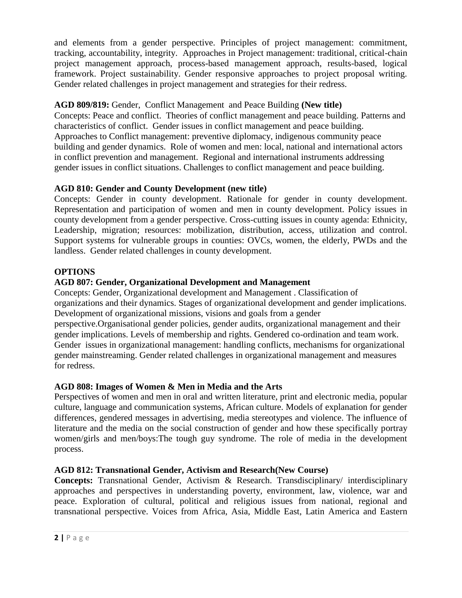and elements from a gender perspective. Principles of project management: commitment, tracking, accountability, integrity. Approaches in Project management: traditional, critical-chain project management approach, process-based management approach, results-based, logical framework. Project sustainability. Gender responsive approaches to project proposal writing. Gender related challenges in project management and strategies for their redress.

# **AGD 809/819:** Gender, Conflict Management and Peace Building **(New title)**

Concepts: Peace and conflict. Theories of conflict management and peace building. Patterns and characteristics of conflict. Gender issues in conflict management and peace building. Approaches to Conflict management: preventive diplomacy, indigenous community peace building and gender dynamics. Role of women and men: local, national and international actors in conflict prevention and management. Regional and international instruments addressing gender issues in conflict situations. Challenges to conflict management and peace building.

# **AGD 810: Gender and County Development (new title)**

Concepts: Gender in county development. Rationale for gender in county development. Representation and participation of women and men in county development. Policy issues in county development from a gender perspective. Cross-cutting issues in county agenda: Ethnicity, Leadership, migration; resources: mobilization, distribution, access, utilization and control. Support systems for vulnerable groups in counties: OVCs, women, the elderly, PWDs and the landless. Gender related challenges in county development.

# **OPTIONS**

# **AGD 807: Gender, Organizational Development and Management**

Concepts: Gender, Organizational development and Management . Classification of organizations and their dynamics. Stages of organizational development and gender implications. Development of organizational missions, visions and goals from a gender perspective.Organisational gender policies, gender audits, organizational management and their gender implications. Levels of membership and rights. Gendered co-ordination and team work. Gender issues in organizational management: handling conflicts, mechanisms for organizational gender mainstreaming. Gender related challenges in organizational management and measures for redress.

### **AGD 808: Images of Women & Men in Media and the Arts**

Perspectives of women and men in oral and written literature, print and electronic media, popular culture, language and communication systems, African culture. Models of explanation for gender differences, gendered messages in advertising, media stereotypes and violence. The influence of literature and the media on the social construction of gender and how these specifically portray women/girls and men/boys:The tough guy syndrome. The role of media in the development process.

### **AGD 812: Transnational Gender, Activism and Research(New Course)**

**Concepts:** Transnational Gender, Activism & Research. Transdisciplinary/ interdisciplinary approaches and perspectives in understanding poverty, environment, law, violence, war and peace. Exploration of cultural, political and religious issues from national, regional and transnational perspective. Voices from Africa, Asia, Middle East, Latin America and Eastern